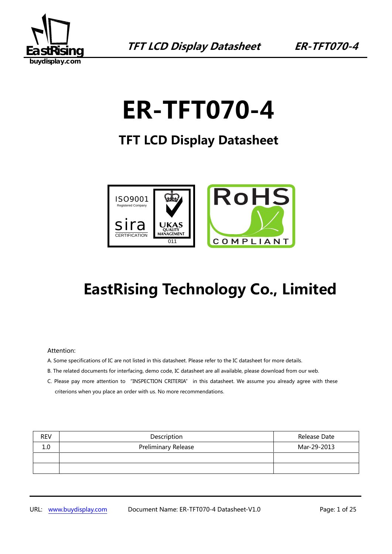

# **ER-TFT070-4**

**TFT LCD Display Datasheet** 



## **EastRising Technology Co., Limited**

#### Attention:

- A. Some specifications of IC are not listed in this datasheet. Please refer to the IC datasheet for more details.
- B. The related documents for interfacing, demo code, IC datasheet are all available, please download from our web.
- C. Please pay more attention to "INSPECTION CRITERIA" in this datasheet. We assume you already agree with these criterions when you place an order with us. No more recommendations.

| <b>REV</b> | Description                | Release Date |
|------------|----------------------------|--------------|
| 1.0        | <b>Preliminary Release</b> | Mar-29-2013  |
|            |                            |              |
|            |                            |              |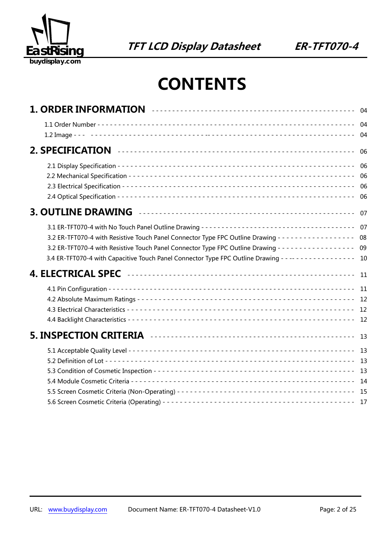

## **CONTENTS**

|                                                                                                                                                                                                                                                                                                                                                          | -06           |
|----------------------------------------------------------------------------------------------------------------------------------------------------------------------------------------------------------------------------------------------------------------------------------------------------------------------------------------------------------|---------------|
|                                                                                                                                                                                                                                                                                                                                                          | 06<br>06      |
|                                                                                                                                                                                                                                                                                                                                                          | - 07          |
| 3.2 ER-TFT070-4 with Resistive Touch Panel Connector Type FPC Outline Drawing - - - - - - - - - - - - - - - - 08<br>3.2 ER-TFT070-4 with Resistive Touch Panel Connector Type FPC Outline Drawing - - - - - - - - - - - - - - - - 09<br>3.4 ER-TFT070-4 with Capacitive Touch Panel Connector Type FPC Outline Drawing - - -- - - - - - - - - - - - - 10 |               |
|                                                                                                                                                                                                                                                                                                                                                          | -11           |
|                                                                                                                                                                                                                                                                                                                                                          | 11            |
|                                                                                                                                                                                                                                                                                                                                                          | <sup>13</sup> |
|                                                                                                                                                                                                                                                                                                                                                          |               |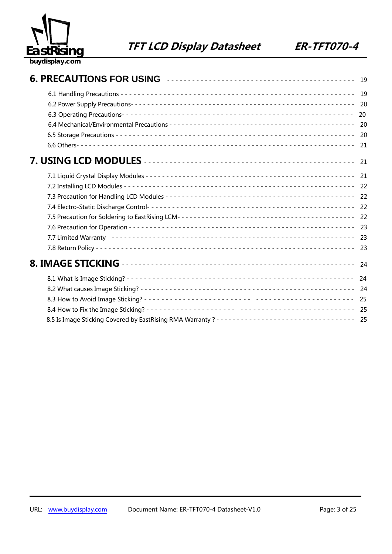

|                                                                                                 | 19   |
|-------------------------------------------------------------------------------------------------|------|
|                                                                                                 |      |
|                                                                                                 | 20   |
|                                                                                                 |      |
|                                                                                                 | - 20 |
|                                                                                                 | 21   |
|                                                                                                 | 21   |
|                                                                                                 |      |
|                                                                                                 |      |
|                                                                                                 |      |
|                                                                                                 |      |
|                                                                                                 |      |
|                                                                                                 |      |
|                                                                                                 |      |
|                                                                                                 |      |
|                                                                                                 | - 24 |
|                                                                                                 |      |
|                                                                                                 |      |
|                                                                                                 |      |
|                                                                                                 |      |
| 8.5 Is Image Sticking Covered by EastRising RMA Warranty? ---------------------------------- 25 |      |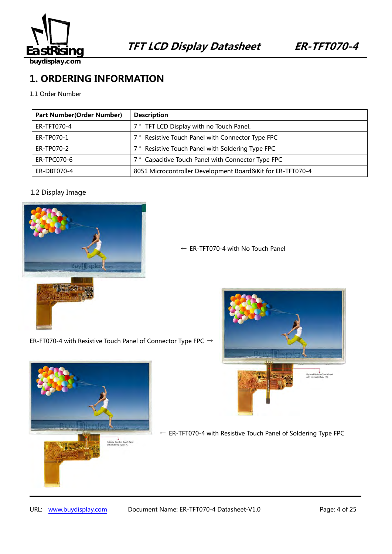

**buydisplay.com**

## **1. ORDERING INFORMATION**

1.1 Order Number

| <b>Part Number (Order Number)</b> | <b>Description</b>                                         |
|-----------------------------------|------------------------------------------------------------|
| ER-TFT070-4                       | 7" TFT LCD Display with no Touch Panel.                    |
| ER-TP070-1                        | 7" Resistive Touch Panel with Connector Type FPC           |
| ER-TP070-2                        | 7" Resistive Touch Panel with Soldering Type FPC           |
| ER-TPC070-6                       | 7" Capacitive Touch Panel with Connector Type FPC          |
| ER-DBT070-4                       | 8051 Microcontroller Development Board&Kit for ER-TFT070-4 |

#### 1.2 Display Image



← ER-TFT070-4 with No Touch Panel

ER-FT070-4 with Resistive Touch Panel of Connector Type FPC  $\rightarrow$ 





← ER-TFT070-4 with Resistive Touch Panel of Soldering Type FPC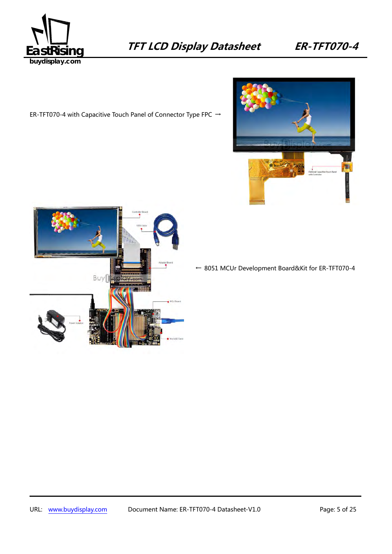

ER-TFT070-4 with Capacitive Touch Panel of Connector Type FPC →





← 8051 MCUr Development Board&Kit for ER-TFT070-4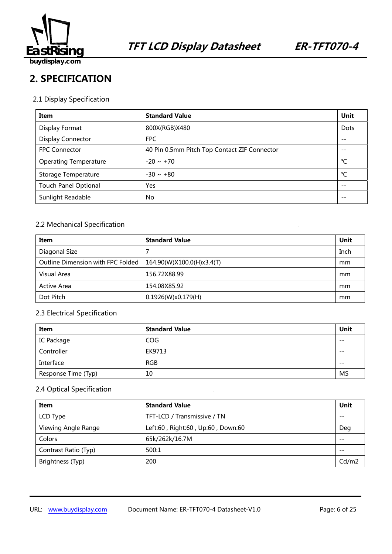

## **2. SPECIFICATION**

#### 2.1 Display Specification

| Item                         | <b>Standard Value</b>                        | Unit |
|------------------------------|----------------------------------------------|------|
| Display Format               | 800X(RGB)X480                                | Dots |
| <b>Display Connector</b>     | <b>FPC</b>                                   |      |
| <b>FPC Connector</b>         | 40 Pin 0.5mm Pitch Top Contact ZIF Connector | $ -$ |
| <b>Operating Temperature</b> | $-20 \sim +70$                               | °C   |
| Storage Temperature          | $-30 \sim +80$                               | °C   |
| <b>Touch Panel Optional</b>  | Yes                                          |      |
| Sunlight Readable            | No.                                          |      |

#### 2.2 Mechanical Specification

| Item                              | <b>Standard Value</b>     | Unit |
|-----------------------------------|---------------------------|------|
| Diagonal Size                     |                           | Inch |
| Outline Dimension with FPC Folded | 164.90(W)X100.0(H)x3.4(T) | mm   |
| Visual Area                       | 156.72X88.99              | mm   |
| Active Area                       | 154.08X85.92              | mm   |
| Dot Pitch                         | 0.1926(W)x0.179(H)        | mm   |

#### 2.3 Electrical Specification

| Item                | <b>Standard Value</b> | Unit  |
|---------------------|-----------------------|-------|
| IC Package          | <b>COG</b>            | $- -$ |
| Controller          | EK9713                | $- -$ |
| Interface           | <b>RGB</b>            | $- -$ |
| Response Time (Typ) | 10                    | MS    |

#### 2.4 Optical Specification

| Item                 | <b>Standard Value</b>             | Unit  |
|----------------------|-----------------------------------|-------|
| LCD Type             | TFT-LCD / Transmissive / TN       | $- -$ |
| Viewing Angle Range  | Left:60, Right:60, Up:60, Down:60 | Deg   |
| Colors               | 65k/262k/16.7M                    | $ -$  |
| Contrast Ratio (Typ) | 500:1                             | $- -$ |
| Brightness (Typ)     | 200                               | Cd/m2 |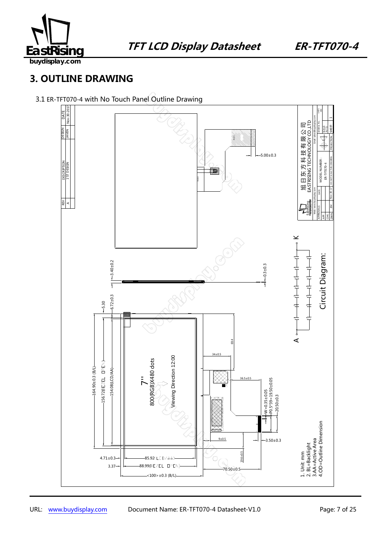

**buydisplay.com**

## **3. OUTLINE DRAWING**

#### 3.1 ER-TFT070-4 with No Touch Panel Outline Drawing

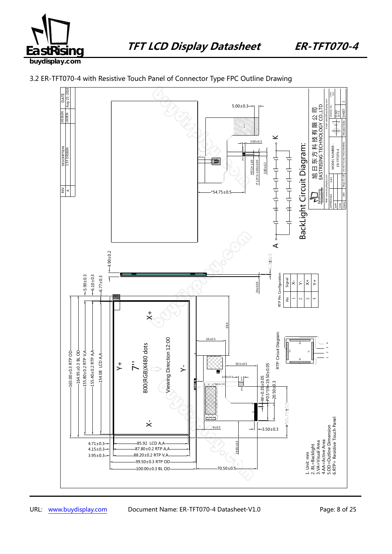



3.2 ER-TFT070-4 with Resistive Touch Panel of Connector Type FPC Outline Drawing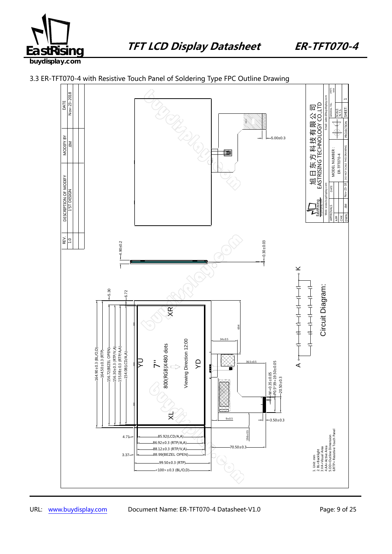



3.3 ER-TFT070-4 with Resistive Touch Panel of Soldering Type FPC Outline Drawing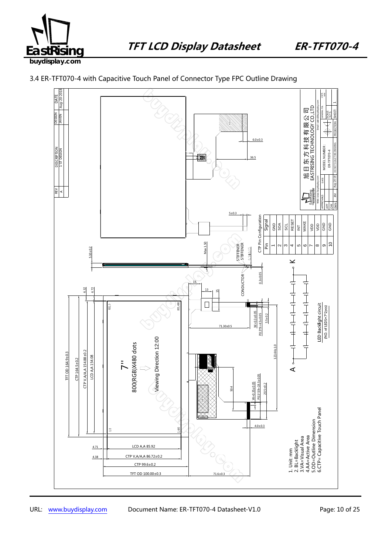



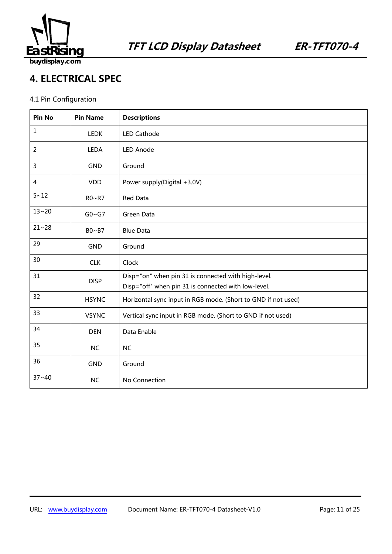

**4. ELECTRICAL SPEC** 

## 4.1 Pin Configuration

| Pin No         | <b>Pin Name</b> | <b>Descriptions</b>                                                                                        |
|----------------|-----------------|------------------------------------------------------------------------------------------------------------|
| $\mathbf{1}$   | <b>LEDK</b>     | <b>LED Cathode</b>                                                                                         |
| $\overline{2}$ | <b>LEDA</b>     | <b>LED Anode</b>                                                                                           |
| 3              | <b>GND</b>      | Ground                                                                                                     |
| $\overline{4}$ | <b>VDD</b>      | Power supply(Digital +3.0V)                                                                                |
| $5 - 12$       | R0~R7           | Red Data                                                                                                   |
| $13 - 20$      | $G0 \sim G7$    | Green Data                                                                                                 |
| $21 - 28$      | $B0 \sim B7$    | <b>Blue Data</b>                                                                                           |
| 29             | <b>GND</b>      | Ground                                                                                                     |
| 30             | <b>CLK</b>      | Clock                                                                                                      |
| 31             | <b>DISP</b>     | Disp="on" when pin 31 is connected with high-level.<br>Disp="off" when pin 31 is connected with low-level. |
| 32             | <b>HSYNC</b>    | Horizontal sync input in RGB mode. (Short to GND if not used)                                              |
| 33             | <b>VSYNC</b>    | Vertical sync input in RGB mode. (Short to GND if not used)                                                |
| 34             | <b>DEN</b>      | Data Enable                                                                                                |
| 35             | <b>NC</b>       | <b>NC</b>                                                                                                  |
| 36             | <b>GND</b>      | Ground                                                                                                     |
| $37 - 40$      | <b>NC</b>       | No Connection                                                                                              |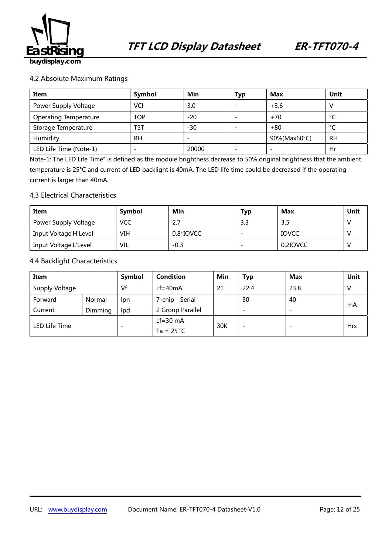

#### 4.2 Absolute Maximum Ratings

| Item                         | Symbol     | Min   | Typ                      | <b>Max</b>   | Unit      |
|------------------------------|------------|-------|--------------------------|--------------|-----------|
| Power Supply Voltage         | VCI        | 3.0   | $\overline{\phantom{0}}$ | $+3.6$       |           |
| <b>Operating Temperature</b> | <b>TOP</b> | $-20$ | $\overline{\phantom{0}}$ | $+70$        | $\sim$    |
| Storage Temperature          | TST        | -30   | $\overline{\phantom{0}}$ | $+80$        | $\sim$    |
| Humidity                     | <b>RH</b>  |       |                          | 90%(Max60°C) | <b>RH</b> |
| LED Life Time (Note-1)       |            | 20000 | -                        |              | Hr        |

Note-1: The LED Life Time" is defined as the module brightness decrease to 50% original brightness that the ambient temperature is 25°C and current of LED backlight is 40mA. The LED life time could be decreased if the operating current is larger than 40mA.

#### 4.3 Electrical Characteristics

| Item                  | Symbol     | Min       | Typ | Max      | Unit |
|-----------------------|------------|-----------|-----|----------|------|
| Power Supply Voltage  | <b>VCC</b> | 2.7       |     | 3.5      |      |
| Input Voltage'H'Level | VIH        | 0.8*IOVCC |     | IOVCC    |      |
| Input Voltage'L'Level | VIL        | $-0.3$    |     | 0.2IOVCC |      |

#### 4.4 Backlight Characteristics

| Item           |         | <b>Symbol</b>            | <b>Condition</b>                                                             | Min | Typ                      | Max  | Unit       |
|----------------|---------|--------------------------|------------------------------------------------------------------------------|-----|--------------------------|------|------------|
| Supply Voltage |         | Vf                       | $Lf = 40mA$                                                                  | 21  | 22.4                     | 23.8 |            |
| Forward        | Normal  | lpn                      | Serial<br>7-chip<br>30<br>40<br>2 Group Parallel<br>$\overline{\phantom{0}}$ |     |                          |      |            |
| Current        | Dimming | lpd                      |                                                                              |     |                          |      | mA         |
| LED Life Time  |         |                          | $Lf=30$ mA                                                                   | 30K |                          |      |            |
|                |         | $\overline{\phantom{0}}$ | Ta = $25 °C$                                                                 |     | $\overline{\phantom{0}}$ |      | <b>Hrs</b> |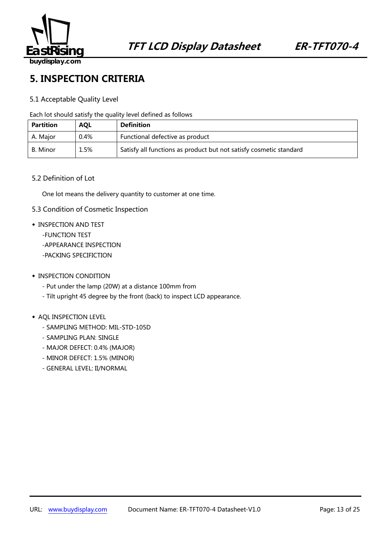

## **5. INSPECTION CRITERIA**

#### 5.1 Acceptable Quality Level

Each lot should satisfy the quality level defined as follows

| <b>Partition</b> | <b>AQL</b> | <b>Definition</b>                                                  |
|------------------|------------|--------------------------------------------------------------------|
| A. Major         | 0.4%       | Functional defective as product                                    |
| B. Minor         | 1.5%       | Satisfy all functions as product but not satisfy cosmetic standard |

#### 5.2 Definition of Lot

One lot means the delivery quantity to customer at one time.

- 5.3 Condition of Cosmetic Inspection
- ◆ INSPECTION AND TEST
	- -FUNCTION TEST
	- -APPEARANCE INSPECTION
	- -PACKING SPECIFICTION
- ◆ INSPECTION CONDITION
	- Put under the lamp (20W) at a distance 100mm from
	- Tilt upright 45 degree by the front (back) to inspect LCD appearance.

#### ◆ AQL INSPECTION LEVEL

- SAMPLING METHOD: MIL-STD-105D
- SAMPLING PLAN: SINGLE
- MAJOR DEFECT: 0.4% (MAJOR)
- MINOR DEFECT: 1.5% (MINOR)
- GENERAL LEVEL: II/NORMAL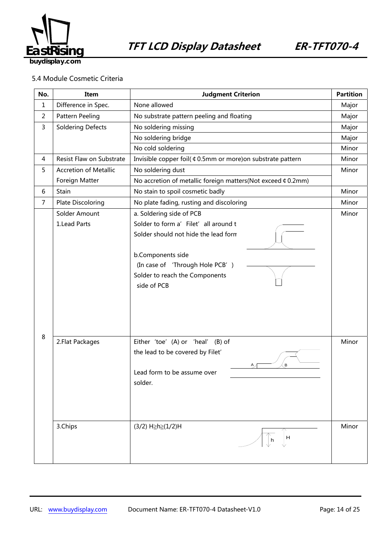

#### 5.4 Module Cosmetic Criteria

| No.            | Item                          | <b>Judgment Criterion</b>                                                                                                                                                                                          |                |
|----------------|-------------------------------|--------------------------------------------------------------------------------------------------------------------------------------------------------------------------------------------------------------------|----------------|
| $\mathbf{1}$   | Difference in Spec.           | None allowed                                                                                                                                                                                                       |                |
| $\overline{2}$ | Pattern Peeling               | No substrate pattern peeling and floating                                                                                                                                                                          |                |
| 3              | <b>Soldering Defects</b>      | No soldering missing                                                                                                                                                                                               | Major          |
|                |                               | No soldering bridge                                                                                                                                                                                                | Major          |
|                |                               | No cold soldering                                                                                                                                                                                                  | Minor          |
| 4              | Resist Flaw on Substrate      | Invisible copper foil( ¢ 0.5mm or more) on substrate pattern                                                                                                                                                       | Minor          |
| 5              | <b>Accretion of Metallic</b>  | No soldering dust                                                                                                                                                                                                  | Minor          |
|                | Foreign Matter                | No accretion of metallic foreign matters(Not exceed ¢ 0.2mm)                                                                                                                                                       |                |
| 6              | Stain                         | No stain to spoil cosmetic badly                                                                                                                                                                                   | Minor          |
| $\overline{7}$ | <b>Plate Discoloring</b>      | No plate fading, rusting and discoloring                                                                                                                                                                           | Minor          |
|                | Solder Amount<br>1.Lead Parts | a. Soldering side of PCB<br>Solder to form a' Filet' all around t<br>Solder should not hide the lead form<br>b.Components side<br>(In case of 'Through Hole PCB')<br>Solder to reach the Components<br>side of PCB | Minor          |
| 8              | 2. Flat Packages<br>3.Chips   | Either 'toe' (A) or 'heal' (B) of<br>the lead to be covered by Filet'<br>В<br>A<br>Lead form to be assume over<br>solder.<br>(3/2) H≥h≥(1/2)H<br>H<br>h                                                            | Minor<br>Minor |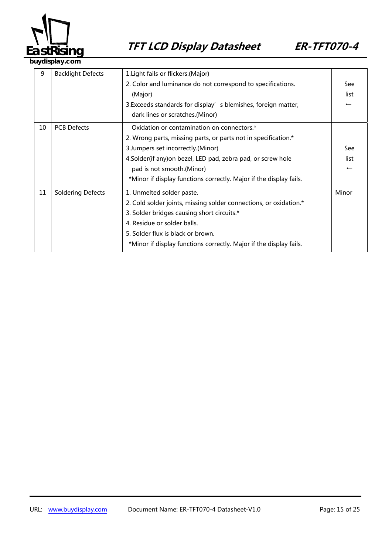

**buydisplay.com**

| 9  | <b>Backlight Defects</b> | 1. Light fails or flickers. (Major)                                |                          |
|----|--------------------------|--------------------------------------------------------------------|--------------------------|
|    |                          | 2. Color and luminance do not correspond to specifications.        | See                      |
|    |                          | (Major)                                                            | list                     |
|    |                          | 3. Exceeds standards for display's blemishes, foreign matter,      | $\leftarrow$             |
|    |                          | dark lines or scratches.(Minor)                                    |                          |
| 10 | <b>PCB Defects</b>       | Oxidation or contamination on connectors.*                         |                          |
|    |                          | 2. Wrong parts, missing parts, or parts not in specification.*     |                          |
|    |                          | 3. Jumpers set incorrectly. (Minor)                                | See                      |
|    |                          | 4. Solder (if any) on bezel, LED pad, zebra pad, or screw hole     | list                     |
|    |                          | pad is not smooth.(Minor)                                          | $\overline{\phantom{m}}$ |
|    |                          | *Minor if display functions correctly. Major if the display fails. |                          |
| 11 | <b>Soldering Defects</b> | 1. Unmelted solder paste.                                          | Minor                    |
|    |                          | 2. Cold solder joints, missing solder connections, or oxidation.*  |                          |
|    |                          | 3. Solder bridges causing short circuits.*                         |                          |
|    |                          | 4. Residue or solder balls.                                        |                          |
|    |                          | 5. Solder flux is black or brown.                                  |                          |
|    |                          | *Minor if display functions correctly. Major if the display fails. |                          |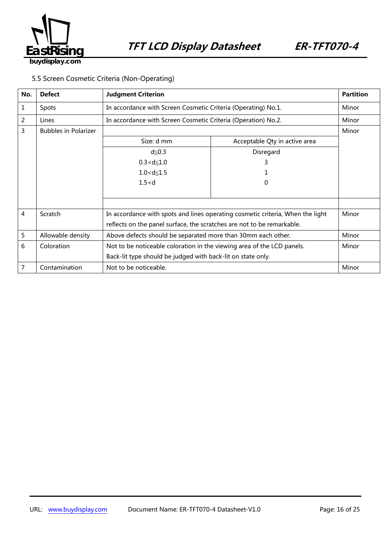

5.5 Screen Cosmetic Criteria (Non-Operating)

| No. | <b>Defect</b>               | <b>Judgment Criterion</b>                                                      |                                                               | <b>Partition</b> |
|-----|-----------------------------|--------------------------------------------------------------------------------|---------------------------------------------------------------|------------------|
| 1   | Spots                       | In accordance with Screen Cosmetic Criteria (Operating) No.1.                  |                                                               | Minor            |
| 2   | Lines                       |                                                                                | In accordance with Screen Cosmetic Criteria (Operation) No.2. |                  |
| 3   | <b>Bubbles in Polarizer</b> |                                                                                |                                                               |                  |
|     |                             | Size: d mm                                                                     | Acceptable Qty in active area                                 |                  |
|     |                             | $d \leq 0.3$                                                                   | Disregard                                                     |                  |
|     |                             | $0.3 < d \leq 1.0$                                                             | 3                                                             |                  |
|     |                             | $1.0 < d \le 1.5$                                                              |                                                               |                  |
|     |                             | 1.5 < d                                                                        | 0                                                             |                  |
|     |                             |                                                                                |                                                               |                  |
|     |                             |                                                                                |                                                               |                  |
| 4   | Scratch                     | In accordance with spots and lines operating cosmetic criteria, When the light |                                                               | Minor            |
|     |                             | reflects on the panel surface, the scratches are not to be remarkable.         |                                                               |                  |
| 5   | Allowable density           | Above defects should be separated more than 30mm each other.                   |                                                               | Minor            |
| 6   | Coloration                  | Not to be noticeable coloration in the viewing area of the LCD panels.         |                                                               | Minor            |
|     |                             | Back-lit type should be judged with back-lit on state only.                    |                                                               |                  |
| 7   | Contamination               | Not to be noticeable.                                                          |                                                               | Minor            |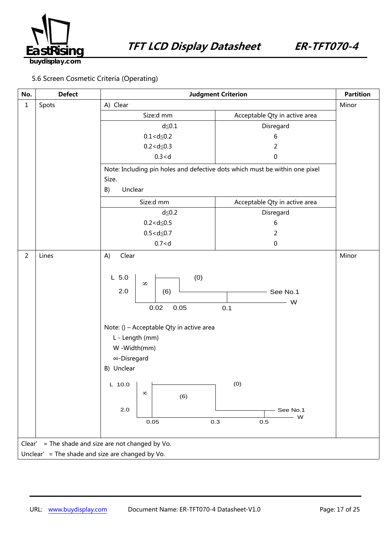

### 5.6 Screen Cosmetic Criteria (Operating)

| No.            | <b>Defect</b>                                         | <b>Judgment Criterion</b>                                                                                                                                                                                                            |                                                                | <b>Partition</b> |  |
|----------------|-------------------------------------------------------|--------------------------------------------------------------------------------------------------------------------------------------------------------------------------------------------------------------------------------------|----------------------------------------------------------------|------------------|--|
| $\mathbf{1}$   | Spots                                                 | A) Clear                                                                                                                                                                                                                             |                                                                | Minor            |  |
|                |                                                       | Size:d mm                                                                                                                                                                                                                            | Acceptable Qty in active area                                  |                  |  |
|                |                                                       | $d \leq 0.1$                                                                                                                                                                                                                         | Disregard                                                      |                  |  |
|                |                                                       | $0.1 < d \le 0.2$                                                                                                                                                                                                                    | 6                                                              |                  |  |
|                |                                                       | $0.2 < d \le 0.3$                                                                                                                                                                                                                    | 2                                                              |                  |  |
|                |                                                       | 0.3 < d                                                                                                                                                                                                                              | 0                                                              |                  |  |
|                |                                                       | Note: Including pin holes and defective dots which must be within one pixel                                                                                                                                                          |                                                                |                  |  |
|                |                                                       | Size.                                                                                                                                                                                                                                |                                                                |                  |  |
|                |                                                       | B)<br>Unclear                                                                                                                                                                                                                        |                                                                |                  |  |
|                |                                                       | Size:d mm                                                                                                                                                                                                                            | Acceptable Qty in active area                                  |                  |  |
|                |                                                       | $d \leq 0.2$                                                                                                                                                                                                                         | Disregard                                                      |                  |  |
|                |                                                       | $0.2 < d \le 0.5$                                                                                                                                                                                                                    | 6                                                              |                  |  |
|                |                                                       | $0.5 < d \le 0.7$                                                                                                                                                                                                                    | 2                                                              |                  |  |
|                |                                                       | 0.7 < d                                                                                                                                                                                                                              | $\pmb{0}$                                                      |                  |  |
| $\overline{2}$ | Lines                                                 | Clear<br>A)                                                                                                                                                                                                                          |                                                                | Minor            |  |
|                |                                                       | (0)<br>$L$ 5.0<br>$\infty$<br>2.0<br>(6)<br>0.02<br>0.05<br>Note: () - Acceptable Qty in active area<br>L - Length (mm)<br>W -Width(mm)<br>∞-Disregard<br>B) Unclear<br><b>COLLEGE</b><br>$L$ 10.0<br>$\infty$<br>(6)<br>2.0<br>0.05 | See No.1<br>W<br>0.1<br>(0)<br>See No.1<br>W<br>0.3<br>$0.5\,$ |                  |  |
|                | = The shade and size are not changed by Vo.<br>Clear' |                                                                                                                                                                                                                                      |                                                                |                  |  |
|                |                                                       | Unclear' = The shade and size are changed by Vo.                                                                                                                                                                                     |                                                                |                  |  |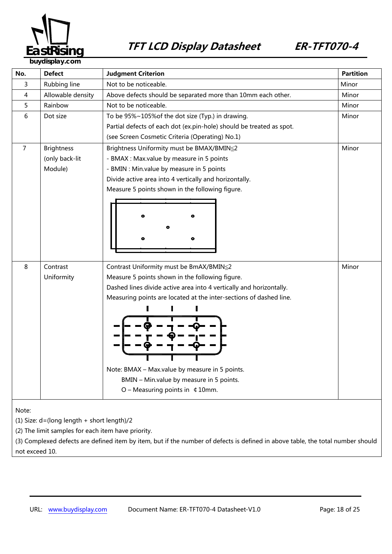

| No.   | <b>Defect</b>                              | <b>Judgment Criterion</b>                                            | <b>Partition</b> |  |
|-------|--------------------------------------------|----------------------------------------------------------------------|------------------|--|
| 3     | Rubbing line                               | Not to be noticeable.                                                | Minor            |  |
| 4     | Allowable density                          | Above defects should be separated more than 10mm each other.         | Minor            |  |
| 5     | Rainbow                                    | Not to be noticeable.                                                | Minor            |  |
| 6     | Dot size                                   | To be 95%~105% of the dot size (Typ.) in drawing.                    | Minor            |  |
|       |                                            | Partial defects of each dot (ex.pin-hole) should be treated as spot. |                  |  |
|       |                                            | (see Screen Cosmetic Criteria (Operating) No.1)                      |                  |  |
| 7     | <b>Brightness</b>                          | Brightness Uniformity must be BMAX/BMIN≤2                            | Minor            |  |
|       | (only back-lit                             | - BMAX : Max.value by measure in 5 points                            |                  |  |
|       | Module)                                    | - BMIN : Min.value by measure in 5 points                            |                  |  |
|       |                                            | Divide active area into 4 vertically and horizontally.               |                  |  |
|       |                                            | Measure 5 points shown in the following figure.                      |                  |  |
|       |                                            |                                                                      |                  |  |
|       |                                            |                                                                      |                  |  |
|       |                                            |                                                                      |                  |  |
|       |                                            |                                                                      |                  |  |
|       |                                            |                                                                      |                  |  |
|       |                                            |                                                                      |                  |  |
|       |                                            |                                                                      |                  |  |
| 8     | Contrast                                   | Contrast Uniformity must be BmAX/BMIN≦2                              | Minor            |  |
|       | Uniformity                                 | Measure 5 points shown in the following figure.                      |                  |  |
|       |                                            | Dashed lines divide active area into 4 vertically and horizontally.  |                  |  |
|       |                                            | Measuring points are located at the inter-sections of dashed line.   |                  |  |
|       |                                            |                                                                      |                  |  |
|       |                                            |                                                                      |                  |  |
|       |                                            |                                                                      |                  |  |
|       |                                            |                                                                      |                  |  |
|       |                                            |                                                                      |                  |  |
|       |                                            |                                                                      |                  |  |
|       |                                            | Note: BMAX - Max.value by measure in 5 points.                       |                  |  |
|       |                                            | BMIN - Min.value by measure in 5 points.                             |                  |  |
|       |                                            | $O$ – Measuring points in $\,$ 4 10mm.                               |                  |  |
|       |                                            |                                                                      |                  |  |
| Note: |                                            |                                                                      |                  |  |
|       | (1) Size: d=(long length + short length)/2 |                                                                      |                  |  |

(2) The limit samples for each item have priority.

(3) Complexed defects are defined item by item, but if the number of defects is defined in above table, the total number should not exceed 10.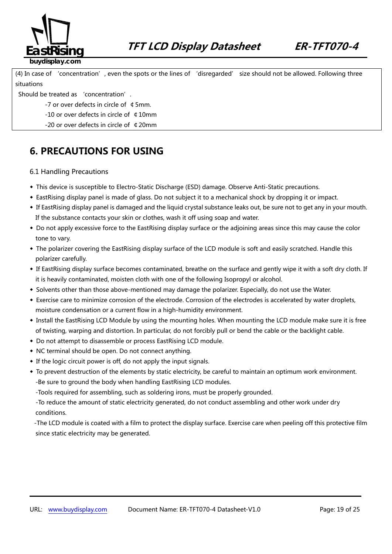

(4) In case of 'concentration', even the spots or the lines of 'disregarded' size should not be allowed. Following three situations

#### Should be treated as 'concentration'.

- -7 or over defects in circle of ¢5mm.
- -10 or over defects in circle of ¢10mm
- -20 or over defects in circle of ¢20mm

### **6. PRECAUTIONS FOR USING**

#### 6.1 Handling Precautions

- ◆ This device is susceptible to Electro-Static Discharge (ESD) damage. Observe Anti-Static precautions.
- ◆ EastRising display panel is made of glass. Do not subject it to a mechanical shock by dropping it or impact.
- ◆ If EastRising display panel is damaged and the liquid crystal substance leaks out, be sure not to get any in your mouth. If the substance contacts your skin or clothes, wash it off using soap and water.
- ◆ Do not apply excessive force to the EastRising display surface or the adjoining areas since this may cause the color tone to vary.
- ◆ The polarizer covering the EastRising display surface of the LCD module is soft and easily scratched. Handle this polarizer carefully.
- ◆ If EastRising display surface becomes contaminated, breathe on the surface and gently wipe it with a soft dry cloth. If it is heavily contaminated, moisten cloth with one of the following Isopropyl or alcohol.
- ◆ Solvents other than those above-mentioned may damage the polarizer. Especially, do not use the Water.
- ◆ Exercise care to minimize corrosion of the electrode. Corrosion of the electrodes is accelerated by water droplets, moisture condensation or a current flow in a high-humidity environment.
- ◆ Install the EastRising LCD Module by using the mounting holes. When mounting the LCD module make sure it is free of twisting, warping and distortion. In particular, do not forcibly pull or bend the cable or the backlight cable.
- ◆ Do not attempt to disassemble or process EastRising LCD module.
- ◆ NC terminal should be open. Do not connect anything.
- ◆ If the logic circuit power is off, do not apply the input signals.
- ◆ To prevent destruction of the elements by static electricity, be careful to maintain an optimum work environment. -Be sure to ground the body when handling EastRising LCD modules.
	- -Tools required for assembling, such as soldering irons, must be properly grounded.

-To reduce the amount of static electricity generated, do not conduct assembling and other work under dry conditions.

-The LCD module is coated with a film to protect the display surface. Exercise care when peeling off this protective film since static electricity may be generated.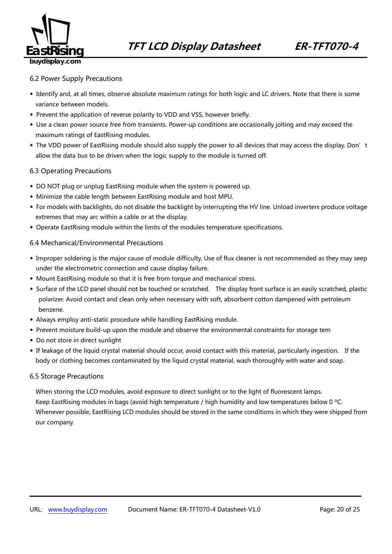

#### 6.2 Power Supply Precautions

- ◆ Identify and, at all times, observe absolute maximum ratings for both logic and LC drivers. Note that there is some variance between models.
- ◆ Prevent the application of reverse polarity to VDD and VSS, however briefly.
- ◆ Use a clean power source free from transients. Power-up conditions are occasionally jolting and may exceed the maximum ratings of EastRising modules.
- The VDD power of EastRising module should also supply the power to all devices that may access the display. Don't allow the data bus to be driven when the logic supply to the module is turned off.

#### 6.3 Operating Precautions

- ◆ DO NOT plug or unplug EastRising module when the system is powered up.
- ◆ Minimize the cable length between EastRising module and host MPU.
- ◆ For models with backlights, do not disable the backlight by interrupting the HV line. Unload inverters produce voltage extremes that may arc within a cable or at the display.
- ◆ Operate EastRising module within the limits of the modules temperature specifications.

#### 6.4 Mechanical/Environmental Precautions

- ◆ Improper soldering is the major cause of module difficulty. Use of flux cleaner is not recommended as they may seep under the electrometric connection and cause display failure.
- ◆ Mount EastRising module so that it is free from torque and mechanical stress.
- ◆ Surface of the LCD panel should not be touched or scratched. The display front surface is an easily scratched, plastic polarizer. Avoid contact and clean only when necessary with soft, absorbent cotton dampened with petroleum benzene.
- ◆ Always employ anti-static procedure while handling EastRising module.
- ◆ Prevent moisture build-up upon the module and observe the environmental constraints for storage tem
- ◆ Do not store in direct sunlight
- ◆ If leakage of the liquid crystal material should occur, avoid contact with this material, particularly ingestion. If the body or clothing becomes contaminated by the liquid crystal material, wash thoroughly with water and soap.

#### 6.5 Storage Precautions

When storing the LCD modules, avoid exposure to direct sunlight or to the light of fluorescent lamps. Keep EastRising modules in bags (avoid high temperature / high humidity and low temperatures below 0 °C. Whenever possible, EastRising LCD modules should be stored in the same conditions in which they were shipped from our company.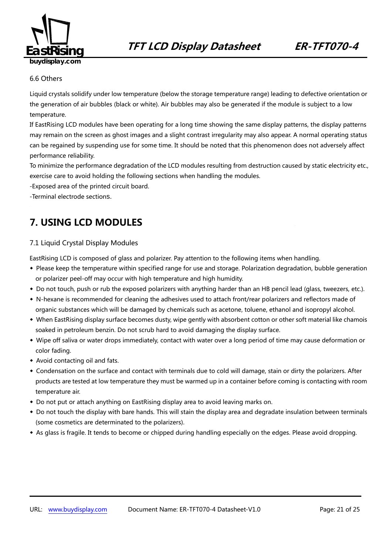

#### 6.6 Others

Liquid crystals solidify under low temperature (below the storage temperature range) leading to defective orientation or the generation of air bubbles (black or white). Air bubbles may also be generated if the module is subject to a low temperature.

If EastRising LCD modules have been operating for a long time showing the same display patterns, the display patterns may remain on the screen as ghost images and a slight contrast irregularity may also appear. A normal operating status can be regained by suspending use for some time. It should be noted that this phenomenon does not adversely affect performance reliability.

To minimize the performance degradation of the LCD modules resulting from destruction caused by static electricity etc., exercise care to avoid holding the following sections when handling the modules.

-Exposed area of the printed circuit board.

-Terminal electrode sections.

## **7. USING LCD MODULES**

#### 7.1 Liquid Crystal Display Modules

EastRising LCD is composed of glass and polarizer. Pay attention to the following items when handling.

- ◆ Please keep the temperature within specified range for use and storage. Polarization degradation, bubble generation or polarizer peel-off may occur with high temperature and high humidity.
- ◆ Do not touch, push or rub the exposed polarizers with anything harder than an HB pencil lead (glass, tweezers, etc.).
- ◆ N-hexane is recommended for cleaning the adhesives used to attach front/rear polarizers and reflectors made of organic substances which will be damaged by chemicals such as acetone, toluene, ethanol and isopropyl alcohol.
- ◆ When EastRising display surface becomes dusty, wipe gently with absorbent cotton or other soft material like chamois soaked in petroleum benzin. Do not scrub hard to avoid damaging the display surface.
- ◆ Wipe off saliva or water drops immediately, contact with water over a long period of time may cause deformation or color fading.
- ◆ Avoid contacting oil and fats.
- ◆ Condensation on the surface and contact with terminals due to cold will damage, stain or dirty the polarizers. After products are tested at low temperature they must be warmed up in a container before coming is contacting with room temperature air.
- ◆ Do not put or attach anything on EastRising display area to avoid leaving marks on.
- ◆ Do not touch the display with bare hands. This will stain the display area and degradate insulation between terminals (some cosmetics are determinated to the polarizers).
- ◆ As glass is fragile. It tends to become or chipped during handling especially on the edges. Please avoid dropping.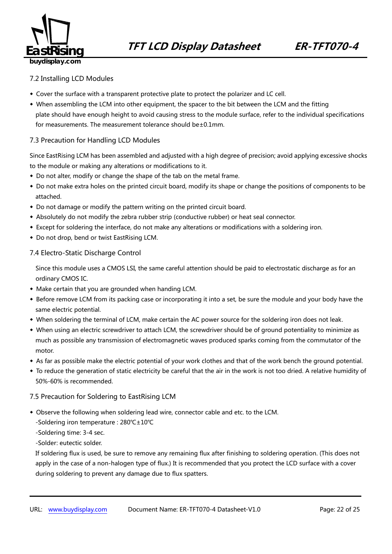

#### 7.2 Installing LCD Modules

- ◆ Cover the surface with a transparent protective plate to protect the polarizer and LC cell.
- ◆ When assembling the LCM into other equipment, the spacer to the bit between the LCM and the fitting plate should have enough height to avoid causing stress to the module surface, refer to the individual specifications for measurements. The measurement tolerance should be±0.1mm.

#### 7.3 Precaution for Handling LCD Modules

Since EastRising LCM has been assembled and adjusted with a high degree of precision; avoid applying excessive shocks to the module or making any alterations or modifications to it.

- ◆ Do not alter, modify or change the shape of the tab on the metal frame.
- ◆ Do not make extra holes on the printed circuit board, modify its shape or change the positions of components to be attached.
- ◆ Do not damage or modify the pattern writing on the printed circuit board.
- ◆ Absolutely do not modify the zebra rubber strip (conductive rubber) or heat seal connector.
- ◆ Except for soldering the interface, do not make any alterations or modifications with a soldering iron.
- ◆ Do not drop, bend or twist EastRising LCM.

#### 7.4 Electro-Static Discharge Control

Since this module uses a CMOS LSI, the same careful attention should be paid to electrostatic discharge as for an ordinary CMOS IC.

- ◆ Make certain that you are grounded when handing LCM.
- ◆ Before remove LCM from its packing case or incorporating it into a set, be sure the module and your body have the same electric potential.
- ◆ When soldering the terminal of LCM, make certain the AC power source for the soldering iron does not leak.
- ◆ When using an electric screwdriver to attach LCM, the screwdriver should be of ground potentiality to minimize as much as possible any transmission of electromagnetic waves produced sparks coming from the commutator of the motor.
- ◆ As far as possible make the electric potential of your work clothes and that of the work bench the ground potential.
- ◆ To reduce the generation of static electricity be careful that the air in the work is not too dried. A relative humidity of 50%-60% is recommended.

#### 7.5 Precaution for Soldering to EastRising LCM

- ◆ Observe the following when soldering lead wire, connector cable and etc. to the LCM.
	- -Soldering iron temperature : 280℃±10℃
	- -Soldering time: 3-4 sec.

-Solder: eutectic solder.

If soldering flux is used, be sure to remove any remaining flux after finishing to soldering operation. (This does not apply in the case of a non-halogen type of flux.) It is recommended that you protect the LCD surface with a cover during soldering to prevent any damage due to flux spatters.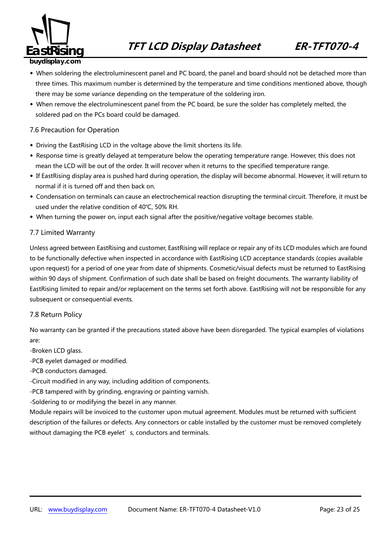

- ◆ When soldering the electroluminescent panel and PC board, the panel and board should not be detached more than three times. This maximum number is determined by the temperature and time conditions mentioned above, though there may be some variance depending on the temperature of the soldering iron.
- ◆ When remove the electroluminescent panel from the PC board, be sure the solder has completely melted, the soldered pad on the PCs board could be damaged.

#### 7.6 Precaution for Operation

- ◆ Driving the EastRising LCD in the voltage above the limit shortens its life.
- ◆ Response time is greatly delayed at temperature below the operating temperature range. However, this does not mean the LCD will be out of the order. It will recover when it returns to the specified temperature range.
- ◆ If EastRising display area is pushed hard during operation, the display will become abnormal. However, it will return to normal if it is turned off and then back on.
- ◆ Condensation on terminals can cause an electrochemical reaction disrupting the terminal circuit. Therefore, it must be used under the relative condition of 40℃, 50% RH.
- ◆ When turning the power on, input each signal after the positive/negative voltage becomes stable.

#### 7.7 Limited Warranty

Unless agreed between EastRising and customer, EastRising will replace or repair any of its LCD modules which are found to be functionally defective when inspected in accordance with EastRising LCD acceptance standards (copies available upon request) for a period of one year from date of shipments. Cosmetic/visual defects must be returned to EastRising within 90 days of shipment. Confirmation of such date shall be based on freight documents. The warranty liability of EastRising limited to repair and/or replacement on the terms set forth above. EastRising will not be responsible for any subsequent or consequential events.

#### 7.8 Return Policy

No warranty can be granted if the precautions stated above have been disregarded. The typical examples of violations are:

- -Broken LCD glass.
- -PCB eyelet damaged or modified.
- -PCB conductors damaged.
- -Circuit modified in any way, including addition of components.
- -PCB tampered with by grinding, engraving or painting varnish.
- -Soldering to or modifying the bezel in any manner.

Module repairs will be invoiced to the customer upon mutual agreement. Modules must be returned with sufficient description of the failures or defects. Any connectors or cable installed by the customer must be removed completely without damaging the PCB eyelet's, conductors and terminals.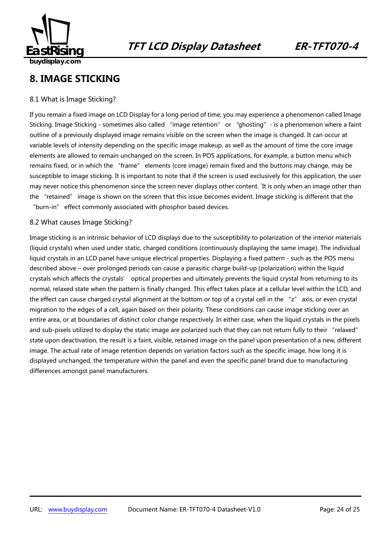

## **8. IMAGE STICKING**

#### 8.1 What is Image Sticking?

If you remain a fixed image on LCD Display for a long period of time, you may experience a phenomenon called Image Sticking. Image Sticking - sometimes also called "image retention" or "ghosting"- is a phenomenon where a faint outline of a previously displayed image remains visible on the screen when the image is changed. It can occur at variable levels of intensity depending on the specific image makeup, as well as the amount of time the core image elements are allowed to remain unchanged on the screen. In POS applications, for example, a button menu which remains fixed, or in which the "frame" elements (core image) remain fixed and the buttons may change, may be susceptible to image sticking. It is important to note that if the screen is used exclusively for this application, the user may never notice this phenomenon since the screen never displays other content. `It is only when an image other than the "retained" image is shown on the screen that this issue becomes evident. Image sticking is different that the "burn-in" effect commonly associated with phosphor based devices.

#### 8.2 What causes Image Sticking?

Image sticking is an intrinsic behavior of LCD displays due to the susceptibility to polarization of the interior materials (liquid crystals) when used under static, charged conditions (continuously displaying the same image). The individual liquid crystals in an LCD panel have unique electrical properties. Displaying a fixed pattern - such as the POS menu described above – over prolonged periods can cause a parasitic charge build-up (polarization) within the liquid crystals which affects the crystals' optical properties and ultimately prevents the liquid crystal from returning to its normal, relaxed state when the pattern is finally changed. This effect takes place at a cellular level within the LCD, and the effect can cause charged crystal alignment at the bottom or top of a crystal cell in the "z" axis, or even crystal migration to the edges of a cell, again based on their polarity. These conditions can cause image sticking over an entire area, or at boundaries of distinct color change respectively. In either case, when the liquid crystals in the pixels and sub-pixels utilized to display the static image are polarized such that they can not return fully to their "relaxed" state upon deactivation, the result is a faint, visible, retained image on the panel upon presentation of a new, different image. The actual rate of image retention depends on variation factors such as the specific image, how long it is displayed unchanged, the temperature within the panel and even the specific panel brand due to manufacturing differences amongst panel manufacturers.